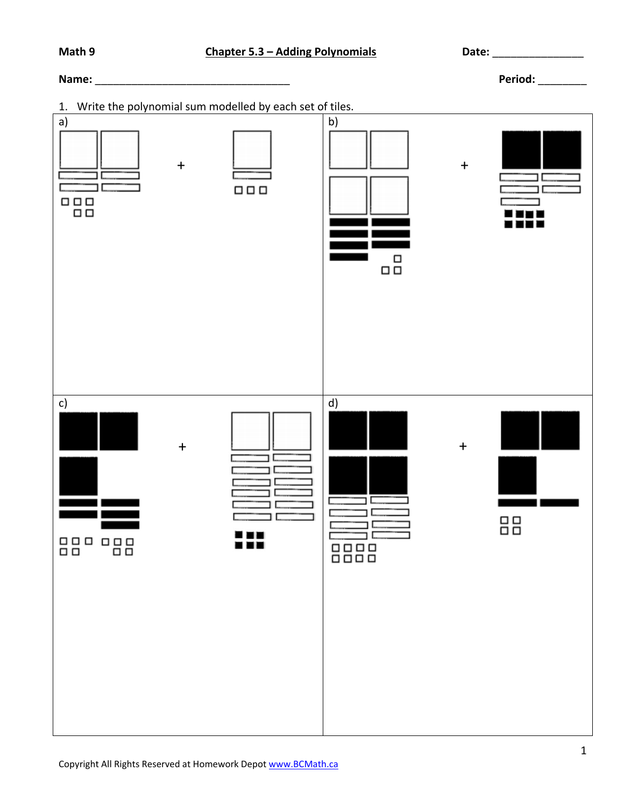## **Name:**  $\blacksquare$

1. Write the polynomial sum modelled by each set of tiles.

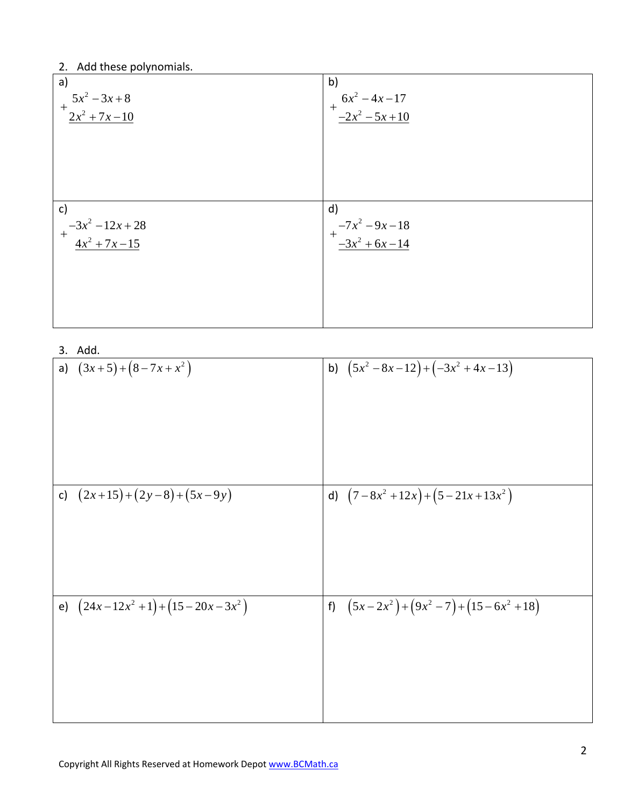## 2. Add these polynomials.

| a)                                          | b)                                 |
|---------------------------------------------|------------------------------------|
| $5x^2-3x+8$<br>$+$                          | $+\frac{6x^2-4x-17}{-2x^2-5x+10}$  |
| $\int \frac{2x^2 + 7x - 10}{x^2 + 7x - 10}$ |                                    |
|                                             |                                    |
|                                             |                                    |
|                                             |                                    |
|                                             |                                    |
|                                             |                                    |
|                                             |                                    |
| $\mathsf{c})$                               | $\mathsf{d}$                       |
|                                             |                                    |
| $+\frac{-3x^2-12x+28}{4x^2+7x-15}$          | $+\frac{-7x^2-9x-18}{-3x^2+6x-14}$ |
|                                             |                                    |
|                                             |                                    |
|                                             |                                    |
|                                             |                                    |

3. Add.

| J. Auu.                          |                                      |
|----------------------------------|--------------------------------------|
| a) $(3x+5)+(8-7x+x^2)$           | $(5x^2-8x-12)+(-3x^2+4x-13)$<br>b)   |
| c) $(2x+15)+(2y-8)+(5x-9y)$      | d) $(7-8x^2+12x)+(5-21x+13x^2)$      |
| e) $(24x-12x^2+1)+(15-20x-3x^2)$ | f) $(5x-2x^2)+(9x^2-7)+(15-6x^2+18)$ |